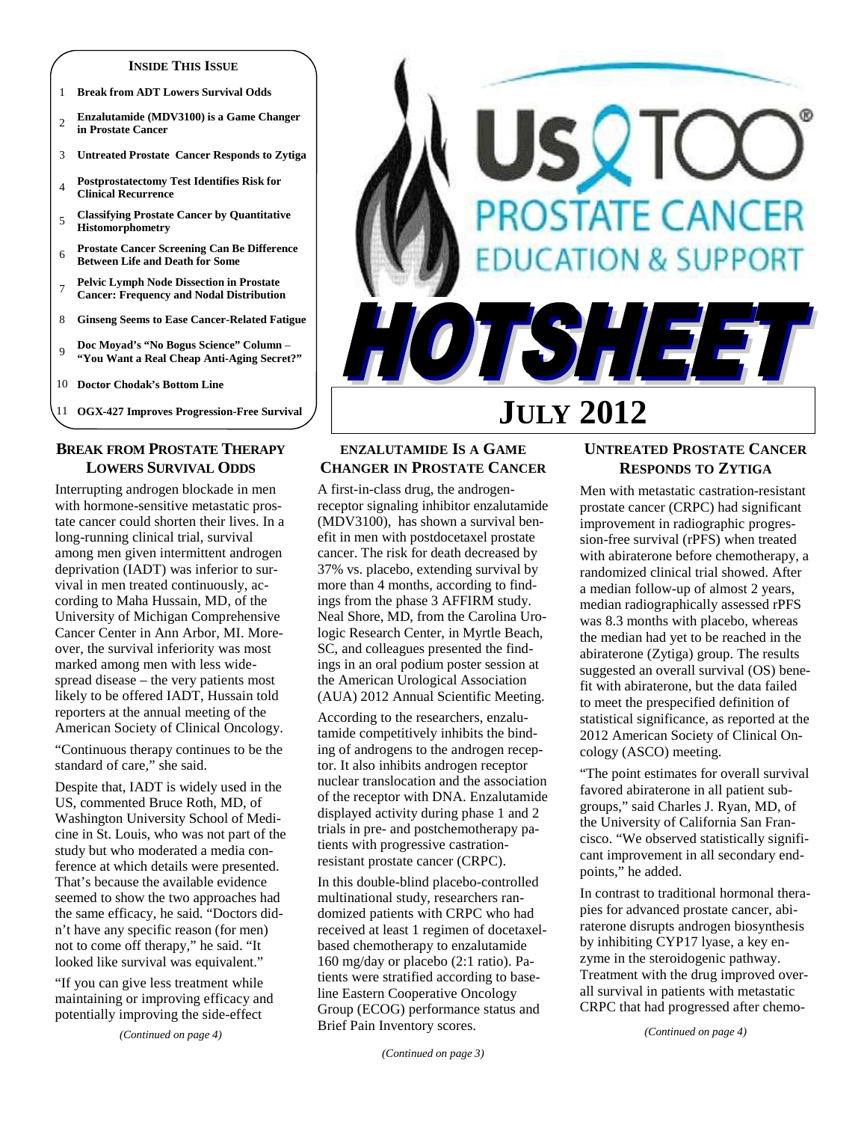#### **INSIDE THIS ISSUE**

- 1 **Break from ADT Lowers Survival Odds**
- <sup>2</sup>**Enzalutamide (MDV3100) is a Game Changer in Prostate Cancer**
- 3 **Untreated Prostate Cancer Responds to Zytiga**
- <sup>4</sup>**Postprostatectomy Test Identifies Risk for Clinical Recurrence**
- <sup>5</sup>**Classifying Prostate Cancer by Quantitative Histomorphometry**
- <sup>6</sup>**Prostate Cancer Screening Can Be Difference Between Life and Death for Some**
- <sup>7</sup>**Pelvic Lymph Node Dissection in Prostate Cancer: Frequency and Nodal Distribution**
- 8 **Ginseng Seems to Ease Cancer-Related Fatigue**
- <sup>9</sup>**Doc Moyad's "No Bogus Science" Column "You Want a Real Cheap Anti-Aging Secret?"**

10 **Doctor Chodak's Bottom Line** 

11 **OGX-427 Improves Progression-Free Survival** 

## **BREAK FROM PROSTATE THERAPY LOWERS SURVIVAL ODDS**

Interrupting androgen blockade in men with hormone-sensitive metastatic prostate cancer could shorten their lives. In a long-running clinical trial, survival among men given intermittent androgen deprivation (IADT) was inferior to survival in men treated continuously, according to Maha Hussain, MD, of the University of Michigan Comprehensive Cancer Center in Ann Arbor, MI. Moreover, the survival inferiority was most marked among men with less widespread disease – the very patients most likely to be offered IADT, Hussain told reporters at the annual meeting of the American Society of Clinical Oncology.

"Continuous therapy continues to be the standard of care," she said.

Despite that, IADT is widely used in the US, commented Bruce Roth, MD, of Washington University School of Medicine in St. Louis, who was not part of the study but who moderated a media conference at which details were presented. That's because the available evidence seemed to show the two approaches had the same efficacy, he said. "Doctors didn't have any specific reason (for men) not to come off therapy," he said. "It looked like survival was equivalent."

"If you can give less treatment while maintaining or improving efficacy and potentially improving the side-effect

*(Continued on page 4)* 

## **ENZALUTAMIDE IS A GAME CHANGER IN PROSTATE CANCER**

A first-in-class drug, the androgenreceptor signaling inhibitor enzalutamide (MDV3100), has shown a survival benefit in men with postdocetaxel prostate cancer. The risk for death decreased by 37% vs. placebo, extending survival by more than 4 months, according to findings from the phase 3 AFFIRM study. Neal Shore, MD, from the Carolina Urologic Research Center, in Myrtle Beach, SC, and colleagues presented the findings in an oral podium poster session at the American Urological Association (AUA) 2012 Annual Scientific Meeting.

According to the researchers, enzalutamide competitively inhibits the binding of androgens to the androgen receptor. It also inhibits androgen receptor nuclear translocation and the association of the receptor with DNA. Enzalutamide displayed activity during phase 1 and 2 trials in pre- and postchemotherapy patients with progressive castrationresistant prostate cancer (CRPC).

In this double-blind placebo-controlled multinational study, researchers randomized patients with CRPC who had received at least 1 regimen of docetaxelbased chemotherapy to enzalutamide 160 mg/day or placebo (2:1 ratio). Patients were stratified according to baseline Eastern Cooperative Oncology Group (ECOG) performance status and Brief Pain Inventory scores.

## **UNTREATED PROSTATE CANCER RESPONDS TO ZYTIGA**

**JULY 2012** 

SQT

**PROSTATE CANCER** 

TSHEE

**ATION & SUPPORT** 

Men with metastatic castration-resistant prostate cancer (CRPC) had significant improvement in radiographic progression-free survival (rPFS) when treated with abiraterone before chemotherapy, a randomized clinical trial showed. After a median follow-up of almost 2 years, median radiographically assessed rPFS was 8.3 months with placebo, whereas the median had yet to be reached in the abiraterone (Zytiga) group. The results suggested an overall survival (OS) benefit with abiraterone, but the data failed to meet the prespecified definition of statistical significance, as reported at the 2012 American Society of Clinical Oncology (ASCO) meeting.

"The point estimates for overall survival favored abiraterone in all patient subgroups," said Charles J. Ryan, MD, of the University of California San Francisco. "We observed statistically significant improvement in all secondary endpoints," he added.

In contrast to traditional hormonal therapies for advanced prostate cancer, abiraterone disrupts androgen biosynthesis by inhibiting CYP17 lyase, a key enzyme in the steroidogenic pathway. Treatment with the drug improved overall survival in patients with metastatic CRPC that had progressed after chemo-

*(Continued on page 4)* 

*<sup>(</sup>Continued on page 3)*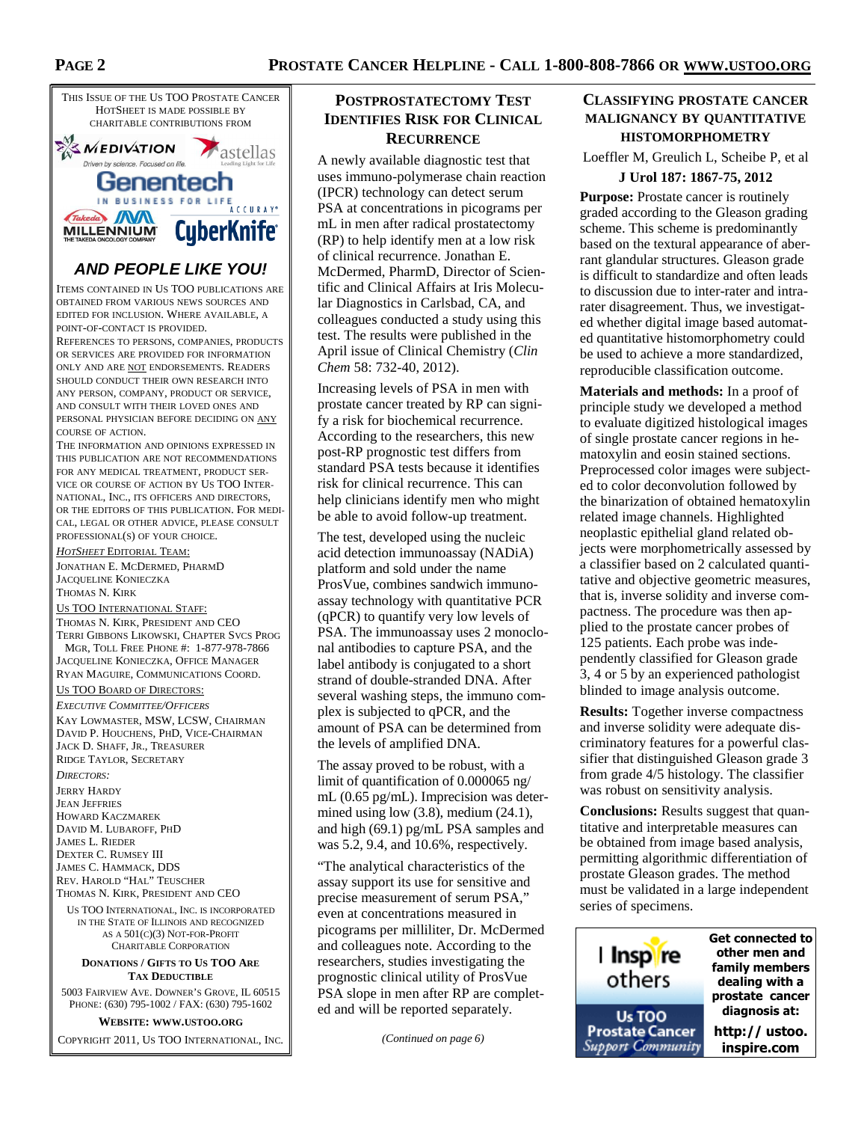

# **AND PEOPLE LIKE YOU!**

ITEMS CONTAINED IN US TOO PUBLICATIONS ARE OBTAINED FROM VARIOUS NEWS SOURCES AND EDITED FOR INCLUSION. WHERE AVAILABLE, A POINT-OF-CONTACT IS PROVIDED.

REFERENCES TO PERSONS, COMPANIES, PRODUCTS OR SERVICES ARE PROVIDED FOR INFORMATION ONLY AND ARE NOT ENDORSEMENTS. READERS SHOULD CONDUCT THEIR OWN RESEARCH INTO ANY PERSON, COMPANY, PRODUCT OR SERVICE, AND CONSULT WITH THEIR LOVED ONES AND PERSONAL PHYSICIAN BEFORE DECIDING ON ANY COURSE OF ACTION.

THE INFORMATION AND OPINIONS EXPRESSED IN THIS PUBLICATION ARE NOT RECOMMENDATIONS FOR ANY MEDICAL TREATMENT, PRODUCT SER-VICE OR COURSE OF ACTION BY US TOO INTER-NATIONAL, INC., ITS OFFICERS AND DIRECTORS, OR THE EDITORS OF THIS PUBLICATION. FOR MEDI-CAL, LEGAL OR OTHER ADVICE, PLEASE CONSULT PROFESSIONAL(S) OF YOUR CHOICE.

*HOTSHEET* EDITORIAL TEAM: JONATHAN E. MCDERMED, PHARMD JACQUELINE KONIECZKA THOMAS N. KIRK US TOO INTERNATIONAL STAFF:

THOMAS N. KIRK, PRESIDENT AND CEO TERRI GIBBONS LIKOWSKI, CHAPTER SVCS PROG MGR, TOLL FREE PHONE #: 1-877-978-7866 JACQUELINE KONIECZKA, OFFICE MANAGER RYAN MAGUIRE, COMMUNICATIONS COORD.

#### US TOO BOARD OF DIRECTORS:

*EXECUTIVE COMMITTEE/OFFICERS* KAY LOWMASTER, MSW, LCSW, CHAIRMAN DAVID P. HOUCHENS, PHD, VICE-CHAIRMAN JACK D. SHAFF, JR., TREASURER RIDGE TAYLOR, SECRETARY

*DIRECTORS:*  JERRY HARDY JEAN JEFFRIES HOWARD KACZMAREK DAVID M. LUBAROFF, PHD JAMES L. RIEDER DEXTER C. RUMSEY III JAMES C. HAMMACK, DDS REV. HAROLD "HAL" TEUSCHER

THOMAS N. KIRK, PRESIDENT AND CEO

US TOO INTERNATIONAL, INC. IS INCORPORATED IN THE STATE OF ILLINOIS AND RECOGNIZED AS A 501(C)(3) NOT-FOR-PROFIT CHARITABLE CORPORATION

#### **DONATIONS / GIFTS TO US TOO ARE TAX DEDUCTIBLE**

5003 FAIRVIEW AVE. DOWNER'S GROVE, IL 60515 PHONE: (630) 795-1002 / FAX: (630) 795-1602

#### **WEBSITE: WWW.USTOO.ORG**

COPYRIGHT 2011, US TOO INTERNATIONAL, INC.

## **POSTPROSTATECTOMY TEST IDENTIFIES RISK FOR CLINICAL RECURRENCE**

A newly available diagnostic test that uses immuno-polymerase chain reaction (IPCR) technology can detect serum PSA at concentrations in picograms per mL in men after radical prostatectomy (RP) to help identify men at a low risk of clinical recurrence. Jonathan E. McDermed, PharmD, Director of Scientific and Clinical Affairs at Iris Molecular Diagnostics in Carlsbad, CA, and colleagues conducted a study using this test. The results were published in the April issue of Clinical Chemistry (*Clin Chem* 58: 732-40, 2012).

Increasing levels of PSA in men with prostate cancer treated by RP can signify a risk for biochemical recurrence. According to the researchers, this new post-RP prognostic test differs from standard PSA tests because it identifies risk for clinical recurrence. This can help clinicians identify men who might be able to avoid follow-up treatment.

The test, developed using the nucleic acid detection immunoassay (NADiA) platform and sold under the name ProsVue, combines sandwich immunoassay technology with quantitative PCR (qPCR) to quantify very low levels of PSA. The immunoassay uses 2 monoclonal antibodies to capture PSA, and the label antibody is conjugated to a short strand of double-stranded DNA. After several washing steps, the immuno complex is subjected to qPCR, and the amount of PSA can be determined from the levels of amplified DNA.

The assay proved to be robust, with a limit of quantification of 0.000065 ng/ mL (0.65 pg/mL). Imprecision was determined using low (3.8), medium (24.1), and high (69.1) pg/mL PSA samples and was 5.2, 9.4, and 10.6%, respectively.

"The analytical characteristics of the assay support its use for sensitive and precise measurement of serum PSA," even at concentrations measured in picograms per milliliter, Dr. McDermed and colleagues note. According to the researchers, studies investigating the prognostic clinical utility of ProsVue PSA slope in men after RP are completed and will be reported separately.

*(Continued on page 6)* 

## **CLASSIFYING PROSTATE CANCER MALIGNANCY BY QUANTITATIVE HISTOMORPHOMETRY**

Loeffler M, Greulich L, Scheibe P, et al

#### **J Urol 187: 1867-75, 2012**

**Purpose:** Prostate cancer is routinely graded according to the Gleason grading scheme. This scheme is predominantly based on the textural appearance of aberrant glandular structures. Gleason grade is difficult to standardize and often leads to discussion due to inter-rater and intrarater disagreement. Thus, we investigated whether digital image based automated quantitative histomorphometry could be used to achieve a more standardized, reproducible classification outcome.

**Materials and methods:** In a proof of principle study we developed a method to evaluate digitized histological images of single prostate cancer regions in hematoxylin and eosin stained sections. Preprocessed color images were subjected to color deconvolution followed by the binarization of obtained hematoxylin related image channels. Highlighted neoplastic epithelial gland related objects were morphometrically assessed by a classifier based on 2 calculated quantitative and objective geometric measures, that is, inverse solidity and inverse compactness. The procedure was then applied to the prostate cancer probes of 125 patients. Each probe was independently classified for Gleason grade 3, 4 or 5 by an experienced pathologist blinded to image analysis outcome.

**Results:** Together inverse compactness and inverse solidity were adequate discriminatory features for a powerful classifier that distinguished Gleason grade 3 from grade 4/5 histology. The classifier was robust on sensitivity analysis.

**Conclusions:** Results suggest that quantitative and interpretable measures can be obtained from image based analysis, permitting algorithmic differentiation of prostate Gleason grades. The method must be validated in a large independent series of specimens.

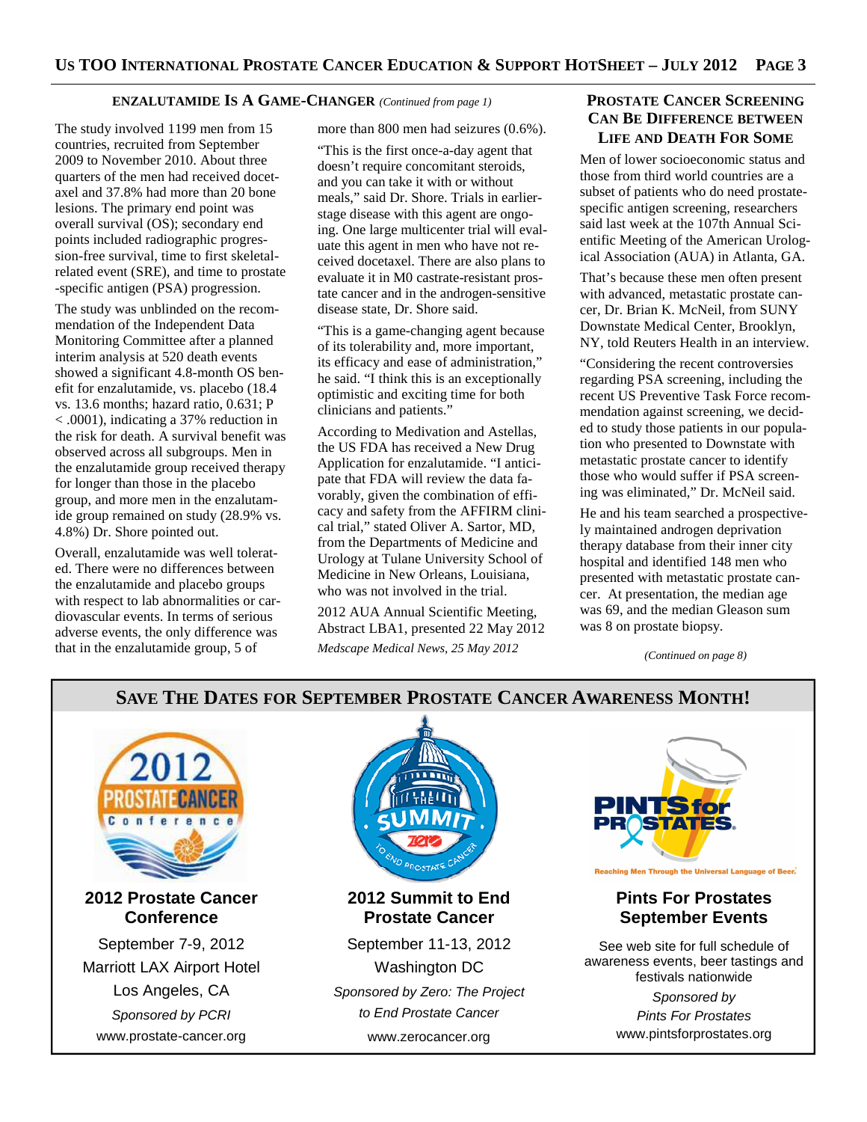## **ENZALUTAMIDE IS A GAME-CHANGER** *(Continued from page 1)*

The study involved 1199 men from 15 countries, recruited from September 2009 to November 2010. About three quarters of the men had received docetaxel and 37.8% had more than 20 bone lesions. The primary end point was overall survival (OS); secondary end points included radiographic progression-free survival, time to first skeletalrelated event (SRE), and time to prostate -specific antigen (PSA) progression.

The study was unblinded on the recommendation of the Independent Data Monitoring Committee after a planned interim analysis at 520 death events showed a significant 4.8-month OS benefit for enzalutamide, vs. placebo (18.4 vs. 13.6 months; hazard ratio, 0.631; P < .0001), indicating a 37% reduction in the risk for death. A survival benefit was observed across all subgroups. Men in the enzalutamide group received therapy for longer than those in the placebo group, and more men in the enzalutamide group remained on study (28.9% vs. 4.8%) Dr. Shore pointed out.

Overall, enzalutamide was well tolerated. There were no differences between the enzalutamide and placebo groups with respect to lab abnormalities or cardiovascular events. In terms of serious adverse events, the only difference was that in the enzalutamide group, 5 of

more than 800 men had seizures (0.6%).

"This is the first once-a-day agent that doesn't require concomitant steroids, and you can take it with or without meals," said Dr. Shore. Trials in earlierstage disease with this agent are ongoing. One large multicenter trial will evaluate this agent in men who have not received docetaxel. There are also plans to evaluate it in M0 castrate-resistant prostate cancer and in the androgen-sensitive disease state, Dr. Shore said.

"This is a game-changing agent because of its tolerability and, more important, its efficacy and ease of administration," he said. "I think this is an exceptionally optimistic and exciting time for both clinicians and patients."

According to Medivation and Astellas, the US FDA has received a New Drug Application for enzalutamide. "I anticipate that FDA will review the data favorably, given the combination of efficacy and safety from the AFFIRM clinical trial," stated Oliver A. Sartor, MD, from the Departments of Medicine and Urology at Tulane University School of Medicine in New Orleans, Louisiana, who was not involved in the trial.

2012 AUA Annual Scientific Meeting, Abstract LBA1, presented 22 May 2012 *Medscape Medical News, 25 May 2012* 

## **PROSTATE CANCER SCREENING CAN BE DIFFERENCE BETWEEN LIFE AND DEATH FOR SOME**

Men of lower socioeconomic status and those from third world countries are a subset of patients who do need prostatespecific antigen screening, researchers said last week at the 107th Annual Scientific Meeting of the American Urological Association (AUA) in Atlanta, GA.

That's because these men often present with advanced, metastatic prostate cancer, Dr. Brian K. McNeil, from SUNY Downstate Medical Center, Brooklyn, NY, told Reuters Health in an interview.

"Considering the recent controversies regarding PSA screening, including the recent US Preventive Task Force recommendation against screening, we decided to study those patients in our population who presented to Downstate with metastatic prostate cancer to identify those who would suffer if PSA screening was eliminated," Dr. McNeil said.

He and his team searched a prospectively maintained androgen deprivation therapy database from their inner city hospital and identified 148 men who presented with metastatic prostate cancer. At presentation, the median age was 69, and the median Gleason sum was 8 on prostate biopsy.

*(Continued on page 8)* 

## **SAVE THE DATES FOR SEPTEMBER PROSTATE CANCER AWARENESS MONTH!**  Reaching Men Through the Universal Language of Beer. **2012 Prostate Cancer 2012 Summit to End Pints For Prostates Conference Prostate Cancer September Events**  September 7-9, 2012 September 11-13, 2012 See web site for full schedule of awareness events, beer tastings and Marriott LAX Airport Hotel Washington DC festivals nationwide Los Angeles, CA Sponsored by Zero: The Project Sponsored by to End Prostate Cancer Sponsored by PCRI Pints For Prostates www.pintsforprostates.org www.prostate-cancer.org www.zerocancer.org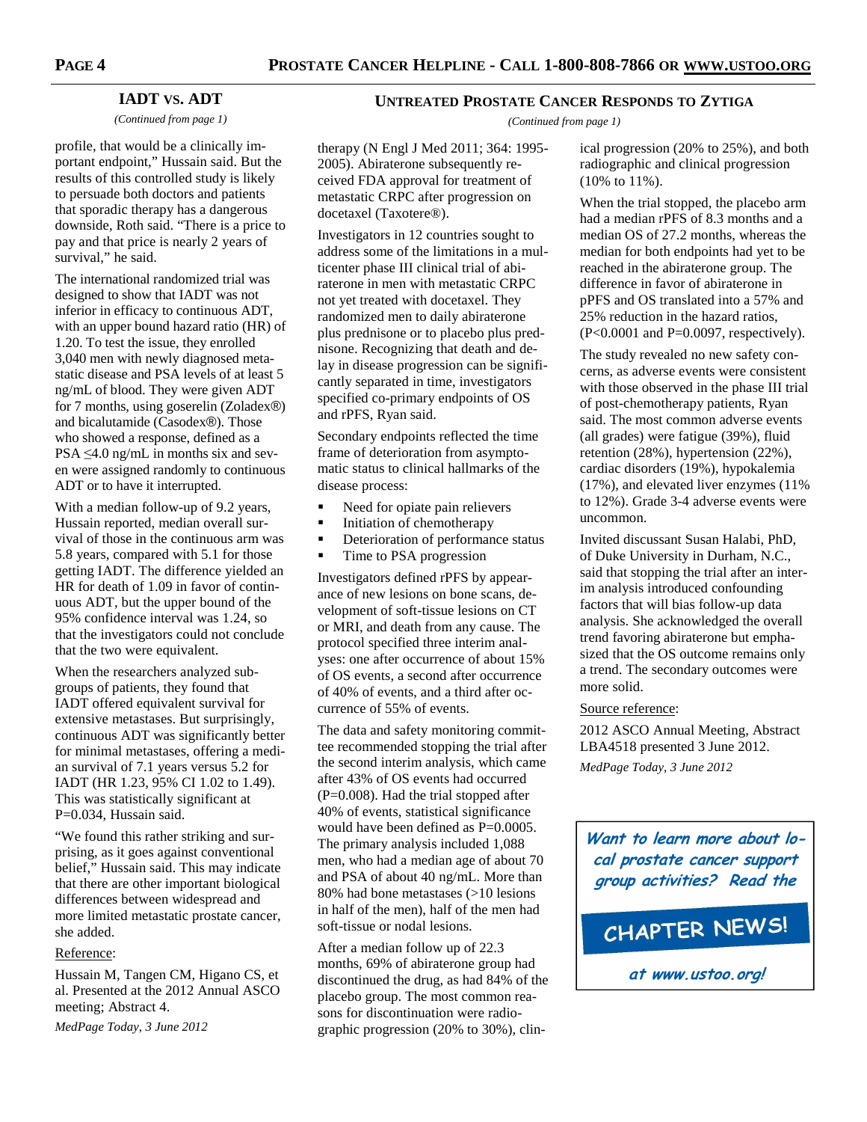therapy (N Engl J Med 2011; 364: 1995- 2005). Abiraterone subsequently received FDA approval for treatment of metastatic CRPC after progression on

Investigators in 12 countries sought to address some of the limitations in a multicenter phase III clinical trial of abiraterone in men with metastatic CRPC not yet treated with docetaxel. They randomized men to daily abiraterone plus prednisone or to placebo plus prednisone. Recognizing that death and delay in disease progression can be significantly separated in time, investigators specified co-primary endpoints of OS

Secondary endpoints reflected the time frame of deterioration from asymptomatic status to clinical hallmarks of the

• Need for opiate pain relievers Initiation of chemotherapy

Investigators defined rPFS by appearance of new lesions on bone scans, development of soft-tissue lesions on CT or MRI, and death from any cause. The protocol specified three interim analyses: one after occurrence of about 15% of OS events, a second after occurrence of 40% of events, and a third after oc-

The data and safety monitoring committee recommended stopping the trial after the second interim analysis, which came after 43% of OS events had occurred (P=0.008). Had the trial stopped after 40% of events, statistical significance would have been defined as P=0.0005. The primary analysis included 1,088 men, who had a median age of about 70 and PSA of about 40 ng/mL. More than 80% had bone metastases (>10 lesions in half of the men), half of the men had

• Time to PSA progression

currence of 55% of events.

soft-tissue or nodal lesions. After a median follow up of 22.3 months, 69% of abiraterone group had discontinued the drug, as had 84% of the placebo group. The most common reasons for discontinuation were radiographic progression (20% to 30%), clin-

Deterioration of performance status

docetaxel (Taxotere®).

and rPFS, Ryan said.

disease process:

## **IADT VS. ADT**

*(Continued from page 1)* 

profile, that would be a clinically important endpoint," Hussain said. But the results of this controlled study is likely to persuade both doctors and patients that sporadic therapy has a dangerous downside, Roth said. "There is a price to pay and that price is nearly 2 years of survival," he said.

The international randomized trial was designed to show that IADT was not inferior in efficacy to continuous ADT, with an upper bound hazard ratio (HR) of 1.20. To test the issue, they enrolled 3,040 men with newly diagnosed metastatic disease and PSA levels of at least 5 ng/mL of blood. They were given ADT for 7 months, using goserelin (Zoladex®) and bicalutamide (Casodex®). Those who showed a response, defined as a  $PSA \leq 4.0$  ng/mL in months six and seven were assigned randomly to continuous ADT or to have it interrupted.

With a median follow-up of 9.2 years, Hussain reported, median overall survival of those in the continuous arm was 5.8 years, compared with 5.1 for those getting IADT. The difference yielded an HR for death of 1.09 in favor of continuous ADT, but the upper bound of the 95% confidence interval was 1.24, so that the investigators could not conclude that the two were equivalent.

When the researchers analyzed subgroups of patients, they found that IADT offered equivalent survival for extensive metastases. But surprisingly, continuous ADT was significantly better for minimal metastases, offering a median survival of 7.1 years versus 5.2 for IADT (HR 1.23, 95% CI 1.02 to 1.49). This was statistically significant at P=0.034, Hussain said.

"We found this rather striking and surprising, as it goes against conventional belief," Hussain said. This may indicate that there are other important biological differences between widespread and more limited metastatic prostate cancer, she added.

#### Reference:

Hussain M, Tangen CM, Higano CS, et al. Presented at the 2012 Annual ASCO meeting; Abstract 4.

*MedPage Today, 3 June 2012* 

#### **UNTREATED PROSTATE CANCER RESPONDS TO ZYTIGA**

*(Continued from page 1)* 

ical progression (20% to 25%), and both radiographic and clinical progression (10% to 11%).

When the trial stopped, the placebo arm had a median rPFS of 8.3 months and a median OS of 27.2 months, whereas the median for both endpoints had yet to be reached in the abiraterone group. The difference in favor of abiraterone in pPFS and OS translated into a 57% and 25% reduction in the hazard ratios,  $(P<0.0001$  and  $P=0.0097$ , respectively).

The study revealed no new safety concerns, as adverse events were consistent with those observed in the phase III trial of post-chemotherapy patients, Ryan said. The most common adverse events (all grades) were fatigue (39%), fluid retention (28%), hypertension (22%), cardiac disorders (19%), hypokalemia (17%), and elevated liver enzymes (11% to 12%). Grade 3-4 adverse events were uncommon.

Invited discussant Susan Halabi, PhD, of Duke University in Durham, N.C., said that stopping the trial after an interim analysis introduced confounding factors that will bias follow-up data analysis. She acknowledged the overall trend favoring abiraterone but emphasized that the OS outcome remains only a trend. The secondary outcomes were more solid.

#### Source reference:

2012 ASCO Annual Meeting, Abstract LBA4518 presented 3 June 2012. *MedPage Today, 3 June 2012* 

**Want to learn more about local prostate cancer support group activities? Read the**

# CHAPTER NEWS!

**at www.ustoo.org!**

**PAGE 4**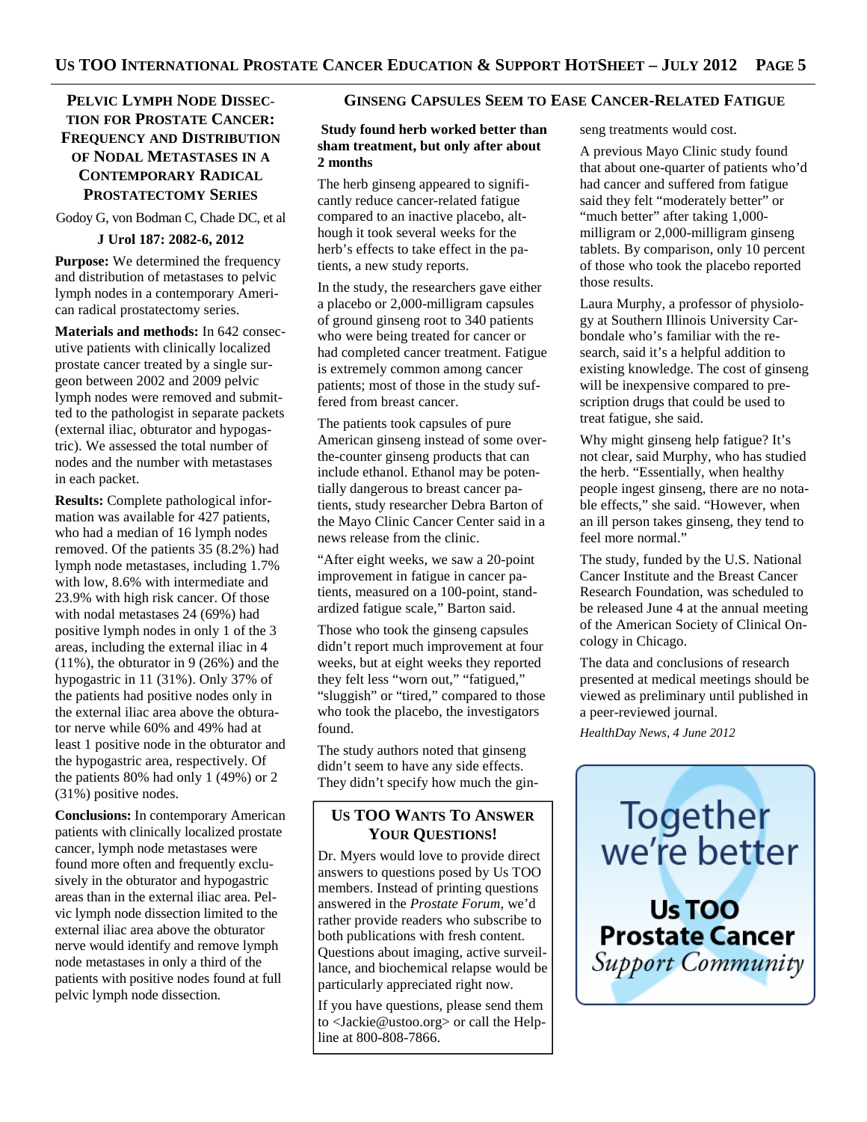# **PELVIC LYMPH NODE DISSEC-TION FOR PROSTATE CANCER: FREQUENCY AND DISTRIBUTION OF NODAL METASTASES IN A CONTEMPORARY RADICAL PROSTATECTOMY SERIES**

Godoy G, von Bodman C, Chade DC, et al

## **J Urol 187: 2082-6, 2012**

**Purpose:** We determined the frequency and distribution of metastases to pelvic lymph nodes in a contemporary American radical prostatectomy series.

**Materials and methods:** In 642 consecutive patients with clinically localized prostate cancer treated by a single surgeon between 2002 and 2009 pelvic lymph nodes were removed and submitted to the pathologist in separate packets (external iliac, obturator and hypogastric). We assessed the total number of nodes and the number with metastases in each packet.

**Results:** Complete pathological information was available for 427 patients, who had a median of 16 lymph nodes removed. Of the patients 35 (8.2%) had lymph node metastases, including 1.7% with low, 8.6% with intermediate and 23.9% with high risk cancer. Of those with nodal metastases 24 (69%) had positive lymph nodes in only 1 of the 3 areas, including the external iliac in 4 (11%), the obturator in 9 (26%) and the hypogastric in 11 (31%). Only 37% of the patients had positive nodes only in the external iliac area above the obturator nerve while 60% and 49% had at least 1 positive node in the obturator and the hypogastric area, respectively. Of the patients 80% had only 1 (49%) or 2 (31%) positive nodes.

**Conclusions:** In contemporary American patients with clinically localized prostate cancer, lymph node metastases were found more often and frequently exclusively in the obturator and hypogastric areas than in the external iliac area. Pelvic lymph node dissection limited to the external iliac area above the obturator nerve would identify and remove lymph node metastases in only a third of the patients with positive nodes found at full pelvic lymph node dissection.

## **GINSENG CAPSULES SEEM TO EASE CANCER-RELATED FATIGUE**

## **Study found herb worked better than sham treatment, but only after about 2 months**

The herb ginseng appeared to significantly reduce cancer-related fatigue compared to an inactive placebo, although it took several weeks for the herb's effects to take effect in the patients, a new study reports.

In the study, the researchers gave either a placebo or 2,000-milligram capsules of ground ginseng root to 340 patients who were being treated for cancer or had completed cancer treatment. Fatigue is extremely common among cancer patients; most of those in the study suffered from breast cancer.

The patients took capsules of pure American ginseng instead of some overthe-counter ginseng products that can include ethanol. Ethanol may be potentially dangerous to breast cancer patients, study researcher Debra Barton of the Mayo Clinic Cancer Center said in a news release from the clinic.

"After eight weeks, we saw a 20-point improvement in fatigue in cancer patients, measured on a 100-point, standardized fatigue scale," Barton said.

Those who took the ginseng capsules didn't report much improvement at four weeks, but at eight weeks they reported they felt less "worn out," "fatigued," "sluggish" or "tired," compared to those who took the placebo, the investigators found.

The study authors noted that ginseng didn't seem to have any side effects. They didn't specify how much the gin-

# **US TOO WANTS TO ANSWER YOUR QUESTIONS!**

Dr. Myers would love to provide direct answers to questions posed by Us TOO members. Instead of printing questions answered in the *Prostate Forum*, we'd rather provide readers who subscribe to both publications with fresh content. Questions about imaging, active surveillance, and biochemical relapse would be particularly appreciated right now.

If you have questions, please send them to <Jackie@ustoo.org> or call the Helpline at 800-808-7866.

seng treatments would cost.

A previous Mayo Clinic study found that about one-quarter of patients who'd had cancer and suffered from fatigue said they felt "moderately better" or "much better" after taking 1,000milligram or 2,000-milligram ginseng tablets. By comparison, only 10 percent of those who took the placebo reported those results.

Laura Murphy, a professor of physiology at Southern Illinois University Carbondale who's familiar with the research, said it's a helpful addition to existing knowledge. The cost of ginseng will be inexpensive compared to prescription drugs that could be used to treat fatigue, she said.

Why might ginseng help fatigue? It's not clear, said Murphy, who has studied the herb. "Essentially, when healthy people ingest ginseng, there are no notable effects," she said. "However, when an ill person takes ginseng, they tend to feel more normal."

The study, funded by the U.S. National Cancer Institute and the Breast Cancer Research Foundation, was scheduled to be released June 4 at the annual meeting of the American Society of Clinical Oncology in Chicago.

The data and conclusions of research presented at medical meetings should be viewed as preliminary until published in a peer-reviewed journal.

*HealthDay News, 4 June 2012* 

Together we're better Us TOO **Prostate Cancer** 

Support Community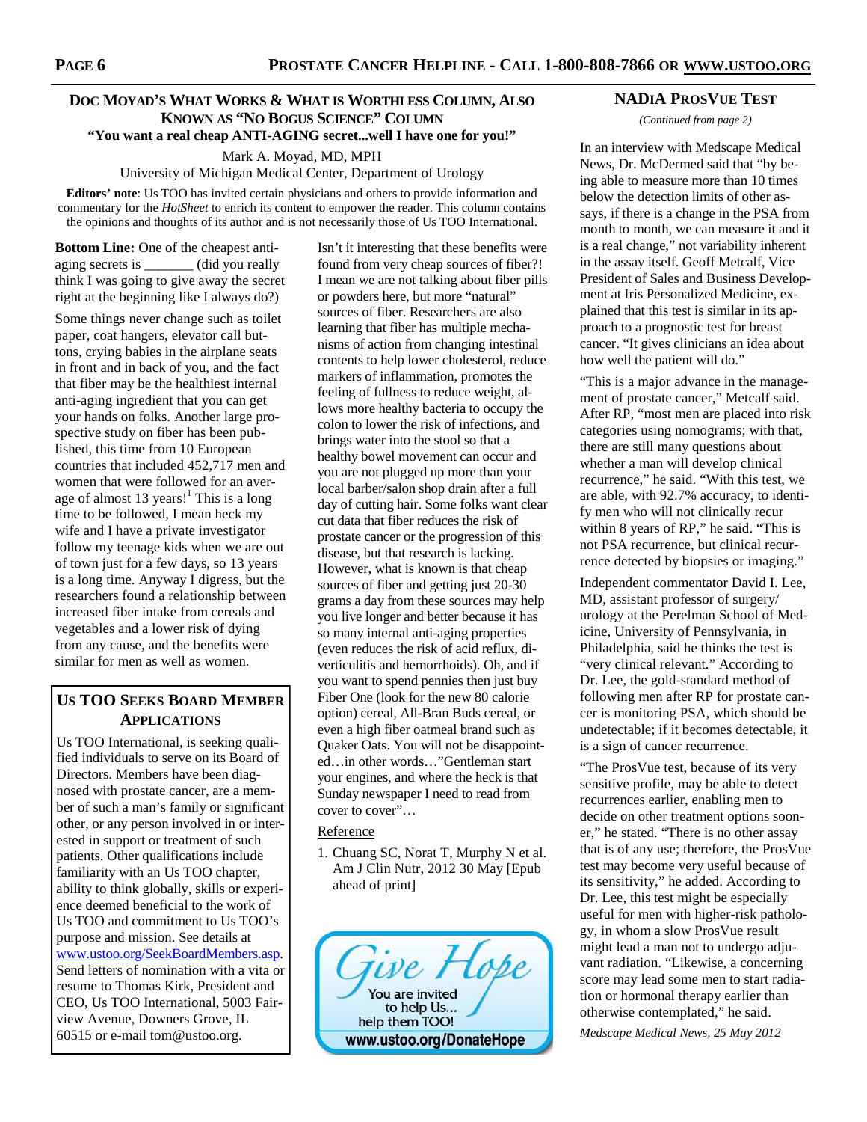## **DOC MOYAD'S WHAT WORKS & WHAT IS WORTHLESS COLUMN, ALSO KNOWN AS "NO BOGUS SCIENCE" COLUMN "You want a real cheap ANTI-AGING secret...well I have one for you!"**

Mark A. Moyad, MD, MPH

University of Michigan Medical Center, Department of Urology

**Editors' note**: Us TOO has invited certain physicians and others to provide information and commentary for the *HotSheet* to enrich its content to empower the reader. This column contains the opinions and thoughts of its author and is not necessarily those of Us TOO International.

**Bottom Line:** One of the cheapest antiaging secrets is \_\_\_\_\_\_\_ (did you really think I was going to give away the secret right at the beginning like I always do?)

Some things never change such as toilet paper, coat hangers, elevator call buttons, crying babies in the airplane seats in front and in back of you, and the fact that fiber may be the healthiest internal anti-aging ingredient that you can get your hands on folks. Another large prospective study on fiber has been published, this time from 10 European countries that included 452,717 men and women that were followed for an average of almost 13 years!<sup>1</sup> This is a long time to be followed, I mean heck my wife and I have a private investigator follow my teenage kids when we are out of town just for a few days, so 13 years is a long time. Anyway I digress, but the researchers found a relationship between increased fiber intake from cereals and vegetables and a lower risk of dying from any cause, and the benefits were similar for men as well as women.

# **US TOO SEEKS BOARD MEMBER APPLICATIONS**

Us TOO International, is seeking qualified individuals to serve on its Board of Directors. Members have been diagnosed with prostate cancer, are a member of such a man's family or significant other, or any person involved in or interested in support or treatment of such patients. Other qualifications include familiarity with an Us TOO chapter, ability to think globally, skills or experience deemed beneficial to the work of Us TOO and commitment to Us TOO's purpose and mission. See details at www.ustoo.org/SeekBoardMembers.asp. Send letters of nomination with a vita or resume to Thomas Kirk, President and CEO, Us TOO International, 5003 Fairview Avenue, Downers Grove, IL 60515 or e-mail tom@ustoo.org.

Isn't it interesting that these benefits were found from very cheap sources of fiber?! I mean we are not talking about fiber pills or powders here, but more "natural" sources of fiber. Researchers are also learning that fiber has multiple mechanisms of action from changing intestinal contents to help lower cholesterol, reduce markers of inflammation, promotes the feeling of fullness to reduce weight, allows more healthy bacteria to occupy the colon to lower the risk of infections, and brings water into the stool so that a healthy bowel movement can occur and you are not plugged up more than your local barber/salon shop drain after a full day of cutting hair. Some folks want clear cut data that fiber reduces the risk of prostate cancer or the progression of this disease, but that research is lacking. However, what is known is that cheap sources of fiber and getting just 20-30 grams a day from these sources may help you live longer and better because it has so many internal anti-aging properties (even reduces the risk of acid reflux, diverticulitis and hemorrhoids). Oh, and if you want to spend pennies then just buy Fiber One (look for the new 80 calorie option) cereal, All-Bran Buds cereal, or even a high fiber oatmeal brand such as Quaker Oats. You will not be disappointed…in other words…"Gentleman start your engines, and where the heck is that Sunday newspaper I need to read from cover to cover"…

#### Reference

1. Chuang SC, Norat T, Murphy N et al. Am J Clin Nutr, 2012 30 May [Epub ahead of print]



#### **NADIA PROSVUE TEST**

*(Continued from page 2)* 

In an interview with Medscape Medical News, Dr. McDermed said that "by being able to measure more than 10 times below the detection limits of other assays, if there is a change in the PSA from month to month, we can measure it and it is a real change," not variability inherent in the assay itself. Geoff Metcalf, Vice President of Sales and Business Development at Iris Personalized Medicine, explained that this test is similar in its approach to a prognostic test for breast cancer. "It gives clinicians an idea about how well the patient will do."

"This is a major advance in the management of prostate cancer," Metcalf said. After RP, "most men are placed into risk categories using nomograms; with that, there are still many questions about whether a man will develop clinical recurrence," he said. "With this test, we are able, with 92.7% accuracy, to identify men who will not clinically recur within 8 years of RP," he said. "This is not PSA recurrence, but clinical recurrence detected by biopsies or imaging."

Independent commentator David I. Lee, MD, assistant professor of surgery/ urology at the Perelman School of Medicine, University of Pennsylvania, in Philadelphia, said he thinks the test is "very clinical relevant." According to Dr. Lee, the gold-standard method of following men after RP for prostate cancer is monitoring PSA, which should be undetectable; if it becomes detectable, it is a sign of cancer recurrence.

"The ProsVue test, because of its very sensitive profile, may be able to detect recurrences earlier, enabling men to decide on other treatment options sooner," he stated. "There is no other assay that is of any use; therefore, the ProsVue test may become very useful because of its sensitivity," he added. According to Dr. Lee, this test might be especially useful for men with higher-risk pathology, in whom a slow ProsVue result might lead a man not to undergo adjuvant radiation. "Likewise, a concerning score may lead some men to start radiation or hormonal therapy earlier than otherwise contemplated," he said.

*Medscape Medical News, 25 May 2012*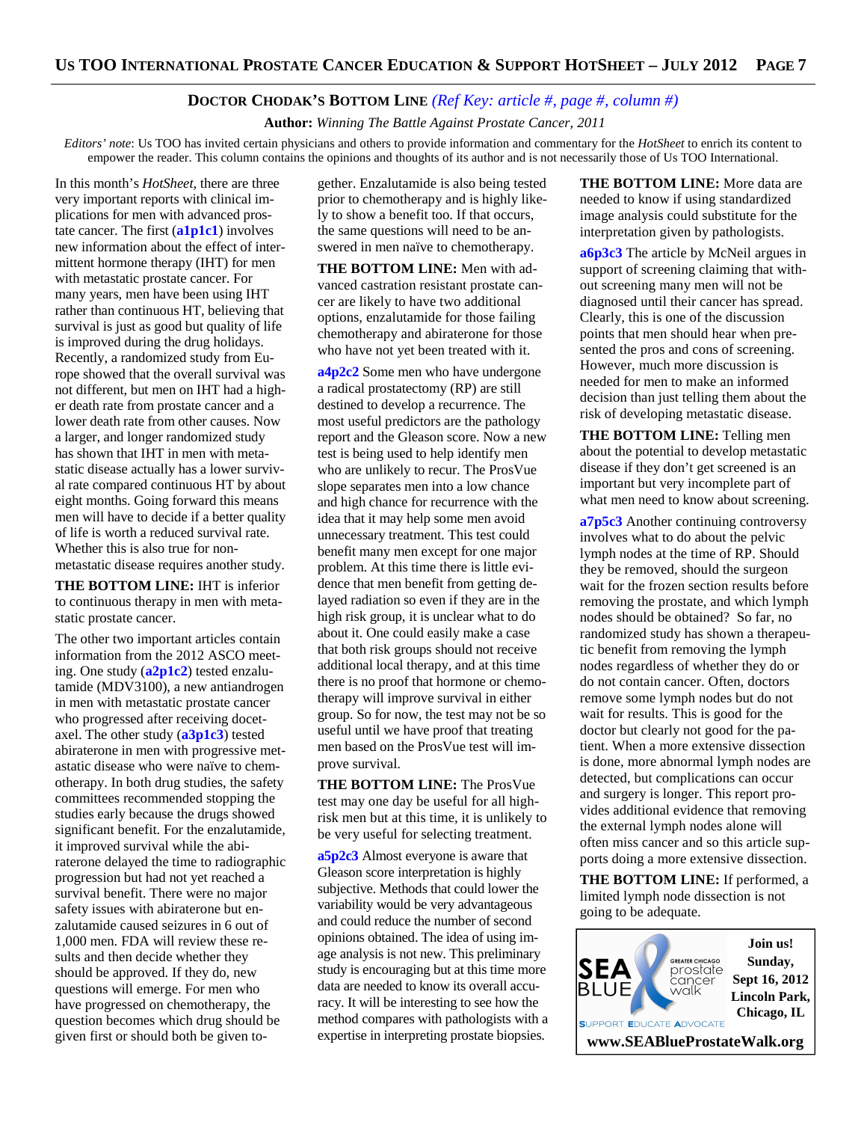## **DOCTOR CHODAK'S BOTTOM LINE** *(Ref Key: article #, page #, column #)*

 **Author:** *Winning The Battle Against Prostate Cancer, 2011*

*Editors' note*: Us TOO has invited certain physicians and others to provide information and commentary for the *HotSheet* to enrich its content to empower the reader. This column contains the opinions and thoughts of its author and is not necessarily those of Us TOO International.

In this month's *HotSheet*, there are three very important reports with clinical implications for men with advanced prostate cancer. The first (**a1p1c1**) involves new information about the effect of intermittent hormone therapy (IHT) for men with metastatic prostate cancer. For many years, men have been using IHT rather than continuous HT, believing that survival is just as good but quality of life is improved during the drug holidays. Recently, a randomized study from Europe showed that the overall survival was not different, but men on IHT had a higher death rate from prostate cancer and a lower death rate from other causes. Now a larger, and longer randomized study has shown that IHT in men with metastatic disease actually has a lower survival rate compared continuous HT by about eight months. Going forward this means men will have to decide if a better quality of life is worth a reduced survival rate. Whether this is also true for nonmetastatic disease requires another study.

**THE BOTTOM LINE:** IHT is inferior to continuous therapy in men with metastatic prostate cancer.

The other two important articles contain information from the 2012 ASCO meeting. One study (**a2p1c2**) tested enzalutamide (MDV3100), a new antiandrogen in men with metastatic prostate cancer who progressed after receiving docetaxel. The other study (**a3p1c3**) tested abiraterone in men with progressive metastatic disease who were naïve to chemotherapy. In both drug studies, the safety committees recommended stopping the studies early because the drugs showed significant benefit. For the enzalutamide, it improved survival while the abiraterone delayed the time to radiographic progression but had not yet reached a survival benefit. There were no major safety issues with abiraterone but enzalutamide caused seizures in 6 out of 1,000 men. FDA will review these results and then decide whether they should be approved. If they do, new questions will emerge. For men who have progressed on chemotherapy, the question becomes which drug should be given first or should both be given to-

gether. Enzalutamide is also being tested prior to chemotherapy and is highly likely to show a benefit too. If that occurs, the same questions will need to be answered in men naïve to chemotherapy.

**THE BOTTOM LINE:** Men with advanced castration resistant prostate cancer are likely to have two additional options, enzalutamide for those failing chemotherapy and abiraterone for those who have not yet been treated with it.

**a4p2c2** Some men who have undergone a radical prostatectomy (RP) are still destined to develop a recurrence. The most useful predictors are the pathology report and the Gleason score. Now a new test is being used to help identify men who are unlikely to recur. The ProsVue slope separates men into a low chance and high chance for recurrence with the idea that it may help some men avoid unnecessary treatment. This test could benefit many men except for one major problem. At this time there is little evidence that men benefit from getting delayed radiation so even if they are in the high risk group, it is unclear what to do about it. One could easily make a case that both risk groups should not receive additional local therapy, and at this time there is no proof that hormone or chemotherapy will improve survival in either group. So for now, the test may not be so useful until we have proof that treating men based on the ProsVue test will improve survival.

**THE BOTTOM LINE:** The ProsVue test may one day be useful for all highrisk men but at this time, it is unlikely to be very useful for selecting treatment.

**a5p2c3** Almost everyone is aware that Gleason score interpretation is highly subjective. Methods that could lower the variability would be very advantageous and could reduce the number of second opinions obtained. The idea of using image analysis is not new. This preliminary study is encouraging but at this time more data are needed to know its overall accuracy. It will be interesting to see how the method compares with pathologists with a expertise in interpreting prostate biopsies.

**THE BOTTOM LINE:** More data are needed to know if using standardized image analysis could substitute for the interpretation given by pathologists.

**a6p3c3** The article by McNeil argues in support of screening claiming that without screening many men will not be diagnosed until their cancer has spread. Clearly, this is one of the discussion points that men should hear when presented the pros and cons of screening. However, much more discussion is needed for men to make an informed decision than just telling them about the risk of developing metastatic disease.

**THE BOTTOM LINE:** Telling men about the potential to develop metastatic disease if they don't get screened is an important but very incomplete part of what men need to know about screening.

**a7p5c3** Another continuing controversy involves what to do about the pelvic lymph nodes at the time of RP. Should they be removed, should the surgeon wait for the frozen section results before removing the prostate, and which lymph nodes should be obtained? So far, no randomized study has shown a therapeutic benefit from removing the lymph nodes regardless of whether they do or do not contain cancer. Often, doctors remove some lymph nodes but do not wait for results. This is good for the doctor but clearly not good for the patient. When a more extensive dissection is done, more abnormal lymph nodes are detected, but complications can occur and surgery is longer. This report provides additional evidence that removing the external lymph nodes alone will often miss cancer and so this article supports doing a more extensive dissection.

**THE BOTTOM LINE:** If performed, a limited lymph node dissection is not going to be adequate.